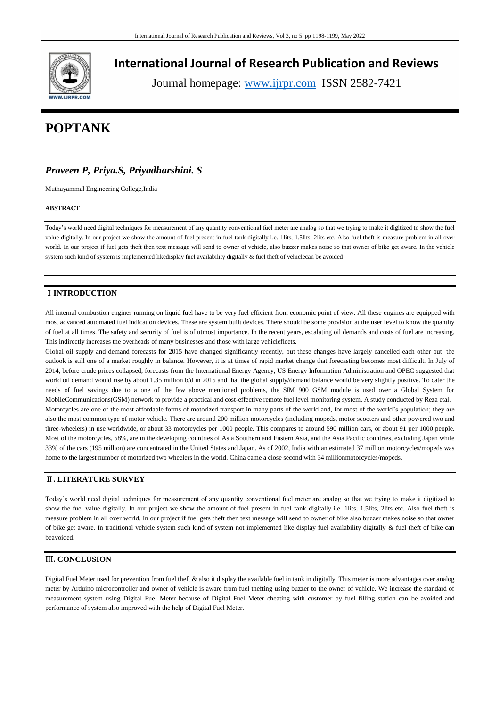

## **International Journal of Research Publication and Reviews**

Journal homepage: www.ijrpr.com ISSN 2582-7421

# **POPTANK**

## *Praveen P, Priya.S, Priyadharshini. S*

Muthayammal Engineering College,India

#### **ABSTRACT**

Today's world need digital techniques for measurement of any quantity conventional fuel meter are analog so that we trying to make it digitized to show the fuel value digitally. In our project we show the amount of fuel present in fuel tank digitally i.e. 1lits, 1.5lits, 2lits etc. Also fuel theft is measure problem in all over world. In our project if fuel gets theft then text message will send to owner of vehicle, also buzzer makes noise so that owner of bike get aware. In the vehicle system such kind of system is implemented likedisplay fuel availability digitally & fuel theft of vehiclecan be avoided

## Ⅰ**INTRODUCTION**

All internal combustion engines running on liquid fuel have to be very fuel efficient from economic point of view. All these engines are equipped with most advanced automated fuel indication devices. These are system built devices. There should be some provision at the user level to know the quantity of fuel at all times. The safety and security of fuel is of utmost importance. In the recent years, escalating oil demands and costs of fuel are increasing. This indirectly increases the overheads of many businesses and those with large vehiclefleets.

Global oil supply and demand forecasts for 2015 have changed significantly recently, but these changes have largely cancelled each other out: the outlook is still one of a market roughly in balance. However, it is at times of rapid market change that forecasting becomes most difficult. In July of 2014, before crude prices collapsed, forecasts from the International Energy Agency, US Energy Information Administration and OPEC suggested that world oil demand would rise by about 1.35 million b/d in 2015 and that the global supply/demand balance would be very slightly positive. To cater the needs of fuel savings due to a one of the few above mentioned problems, the SIM 900 GSM module is used over a Global System for MobileCommunications(GSM) network to provide a practical and cost-effective remote fuel level monitoring system. A study conducted by Reza etal. Motorcycles are one of the most affordable forms of motorized transport in many parts of the world and, for most of the world's population; they are also the most common type of motor vehicle. There are around 200 million motorcycles (including mopeds, motor scooters and other powered two and three-wheelers) in use worldwide, or about 33 motorcycles per 1000 people. This compares to around 590 million cars, or about 91 per 1000 people. Most of the motorcycles, 58%, are in the developing countries of Asia Southern and Eastern Asia, and the Asia Pacific countries, excluding Japan while 33% of the cars (195 million) are concentrated in the United States and Japan. As of 2002, India with an estimated 37 million motorcycles/mopeds was home to the largest number of motorized two wheelers in the world. China came a close second with 34 millionmotorcycles/mopeds.

#### Ⅱ**. LITERATURE SURVEY**

Today's world need digital techniques for measurement of any quantity conventional fuel meter are analog so that we trying to make it digitized to show the fuel value digitally. In our project we show the amount of fuel present in fuel tank digitally i.e. 1lits, 1.5lits, 2lits etc. Also fuel theft is measure problem in all over world. In our project if fuel gets theft then text message will send to owner of bike also buzzer makes noise so that owner of bike get aware. In traditional vehicle system such kind of system not implemented like display fuel availability digitally & fuel theft of bike can beavoided.

## Ⅲ**. CONCLUSION**

Digital Fuel Meter used for prevention from fuel theft & also it display the available fuel in tank in digitally. This meter is more advantages over analog meter by Arduino microcontroller and owner of vehicle is aware from fuel thefting using buzzer to the owner of vehicle. We increase the standard of measurement system using Digital Fuel Meter because of Digital Fuel Meter cheating with customer by fuel filling station can be avoided and performance of system also improved with the help of Digital Fuel Meter.